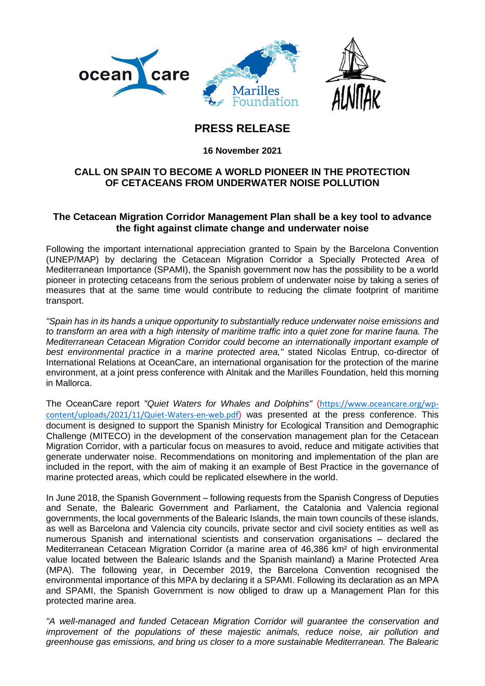

# **PRESS RELEASE**

#### **16 November 2021**

### **CALL ON SPAIN TO BECOME A WORLD PIONEER IN THE PROTECTION OF CETACEANS FROM UNDERWATER NOISE POLLUTION**

## **The Cetacean Migration Corridor Management Plan shall be a key tool to advance the fight against climate change and underwater noise**

Following the important international appreciation granted to Spain by the Barcelona Convention (UNEP/MAP) by declaring the Cetacean Migration Corridor a Specially Protected Area of Mediterranean Importance (SPAMI), the Spanish government now has the possibility to be a world pioneer in protecting cetaceans from the serious problem of underwater noise by taking a series of measures that at the same time would contribute to reducing the climate footprint of maritime transport.

*"Spain has in its hands a unique opportunity to substantially reduce underwater noise emissions and to transform an area with a high intensity of maritime traffic into a quiet zone for marine fauna. The Mediterranean Cetacean Migration Corridor could become an internationally important example of best environmental practice in a marine protected area,"* stated Nicolas Entrup, co-director of International Relations at OceanCare, an international organisation for the protection of the marine environment, at a joint press conference with Alnitak and the Marilles Foundation, held this morning in Mallorca.

The OceanCare report *"Quiet Waters for Whales and Dolphins"* ([https://www.oceancare.org/wp](https://www.oceancare.org/wp-content/uploads/2021/11/Quiet-Waters-en-web.pdf)[content/uploads/2021/11/Quiet-Waters-en-web.pdf](https://www.oceancare.org/wp-content/uploads/2021/11/Quiet-Waters-en-web.pdf)) was presented at the press conference. This document is designed to support the Spanish Ministry for Ecological Transition and Demographic Challenge (MITECO) in the development of the conservation management plan for the Cetacean Migration Corridor, with a particular focus on measures to avoid, reduce and mitigate activities that generate underwater noise. Recommendations on monitoring and implementation of the plan are included in the report, with the aim of making it an example of Best Practice in the governance of marine protected areas, which could be replicated elsewhere in the world.

In June 2018, the Spanish Government – following requests from the Spanish Congress of Deputies and Senate, the Balearic Government and Parliament, the Catalonia and Valencia regional governments, the local governments of the Balearic Islands, the main town councils of these islands, as well as Barcelona and Valencia city councils, private sector and civil society entities as well as numerous Spanish and international scientists and conservation organisations – declared the Mediterranean Cetacean Migration Corridor (a marine area of 46,386 km² of high environmental value located between the Balearic Islands and the Spanish mainland) a Marine Protected Area (MPA). The following year, in December 2019, the Barcelona Convention recognised the environmental importance of this MPA by declaring it a SPAMI. Following its declaration as an MPA and SPAMI, the Spanish Government is now obliged to draw up a Management Plan for this protected marine area.

*"A well-managed and funded Cetacean Migration Corridor will guarantee the conservation and improvement of the populations of these majestic animals, reduce noise, air pollution and greenhouse gas emissions, and bring us closer to a more sustainable Mediterranean. The Balearic*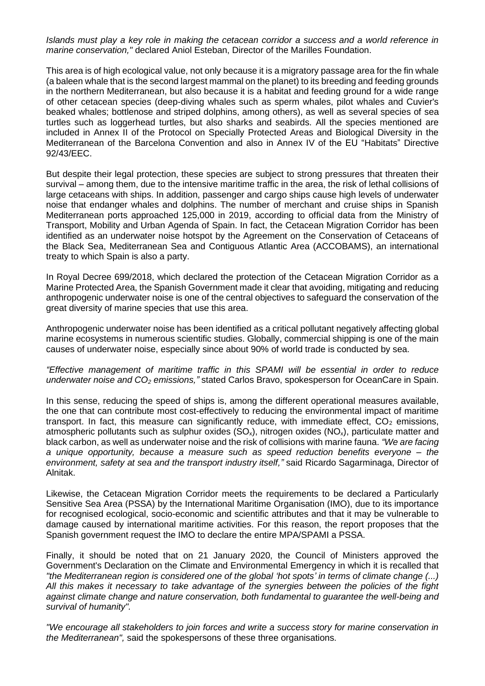*Islands must play a key role in making the cetacean corridor a success and a world reference in marine conservation,"* declared Aniol Esteban, Director of the Marilles Foundation.

This area is of high ecological value, not only because it is a migratory passage area for the fin whale (a baleen whale that is the second largest mammal on the planet) to its breeding and feeding grounds in the northern Mediterranean, but also because it is a habitat and feeding ground for a wide range of other cetacean species (deep-diving whales such as sperm whales, pilot whales and Cuvier's beaked whales; bottlenose and striped dolphins, among others), as well as several species of sea turtles such as loggerhead turtles, but also sharks and seabirds. All the species mentioned are included in Annex II of the Protocol on Specially Protected Areas and Biological Diversity in the Mediterranean of the Barcelona Convention and also in Annex IV of the EU "Habitats" Directive 92/43/EEC.

But despite their legal protection, these species are subject to strong pressures that threaten their survival – among them, due to the intensive maritime traffic in the area, the risk of lethal collisions of large cetaceans with ships. In addition, passenger and cargo ships cause high levels of underwater noise that endanger whales and dolphins. The number of merchant and cruise ships in Spanish Mediterranean ports approached 125,000 in 2019, according to official data from the Ministry of Transport, Mobility and Urban Agenda of Spain. In fact, the Cetacean Migration Corridor has been identified as an underwater noise hotspot by the Agreement on the Conservation of Cetaceans of the Black Sea, Mediterranean Sea and Contiguous Atlantic Area (ACCOBAMS), an international treaty to which Spain is also a party.

In Royal Decree 699/2018, which declared the protection of the Cetacean Migration Corridor as a Marine Protected Area, the Spanish Government made it clear that avoiding, mitigating and reducing anthropogenic underwater noise is one of the central objectives to safeguard the conservation of the great diversity of marine species that use this area.

Anthropogenic underwater noise has been identified as a critical pollutant negatively affecting global marine ecosystems in numerous scientific studies. Globally, commercial shipping is one of the main causes of underwater noise, especially since about 90% of world trade is conducted by sea.

*"Effective management of maritime traffic in this SPAMI will be essential in order to reduce underwater noise and CO<sup>2</sup> emissions,"* stated Carlos Bravo, spokesperson for OceanCare in Spain.

In this sense, reducing the speed of ships is, among the different operational measures available, the one that can contribute most cost-effectively to reducing the environmental impact of maritime transport. In fact, this measure can significantly reduce, with immediate effect,  $CO<sub>2</sub>$  emissions, atmospheric pollutants such as sulphur oxides  $(SO_x)$ , nitrogen oxides  $(NO_x)$ , particulate matter and black carbon, as well as underwater noise and the risk of collisions with marine fauna. *"We are facing a unique opportunity, because a measure such as speed reduction benefits everyone – the environment, safety at sea and the transport industry itself,"* said Ricardo Sagarminaga, Director of Alnitak.

Likewise, the Cetacean Migration Corridor meets the requirements to be declared a Particularly Sensitive Sea Area (PSSA) by the International Maritime Organisation (IMO), due to its importance for recognised ecological, socio-economic and scientific attributes and that it may be vulnerable to damage caused by international maritime activities. For this reason, the report proposes that the Spanish government request the IMO to declare the entire MPA/SPAMI a PSSA.

Finally, it should be noted that on 21 January 2020, the Council of Ministers approved the Government's Declaration on the Climate and Environmental Emergency in which it is recalled that *"the Mediterranean region is considered one of the global 'hot spots' in terms of climate change (...) All this makes it necessary to take advantage of the synergies between the policies of the fight against climate change and nature conservation, both fundamental to guarantee the well-being and survival of humanity".*

*"We encourage all stakeholders to join forces and write a success story for marine conservation in the Mediterranean",* said the spokespersons of these three organisations.